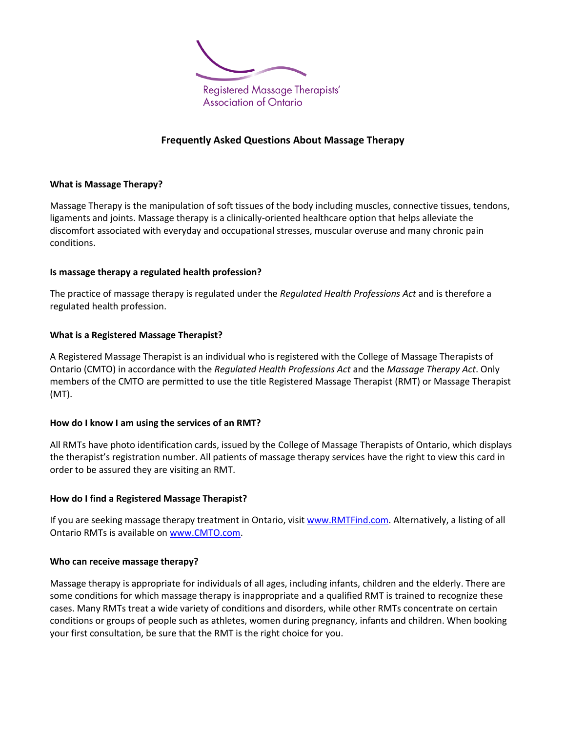

# **Frequently Asked Questions About Massage Therapy**

### **What is Massage Therapy?**

Massage Therapy is the manipulation of soft tissues of the body including muscles, connective tissues, tendons, ligaments and joints. Massage therapy is a clinically-oriented healthcare option that helps alleviate the discomfort associated with everyday and occupational stresses, muscular overuse and many chronic pain conditions.

## **Is massage therapy a regulated health profession?**

The practice of massage therapy is regulated under the *Regulated Health Professions Act* and is therefore a regulated health profession.

## **What is a Registered Massage Therapist?**

A Registered Massage Therapist is an individual who is registered with the College of Massage Therapists of Ontario (CMTO) in accordance with the *Regulated Health Professions Act* and the *Massage Therapy Act*. Only members of the CMTO are permitted to use the title Registered Massage Therapist (RMT) or Massage Therapist (MT).

### **How do I know I am using the services of an RMT?**

All RMTs have photo identification cards, issued by the College of Massage Therapists of Ontario, which displays the therapist's registration number. All patients of massage therapy services have the right to view this card in order to be assured they are visiting an RMT.

### **How do I find a Registered Massage Therapist?**

If you are seeking massage therapy treatment in Ontario, visit [www.RMTFind.com.](http://www.rmtfind.com/) Alternatively, a listing of all Ontario RMTs is available o[n www.CMTO.com.](http://www.cmto.com/)

### **Who can receive massage therapy?**

Massage therapy is appropriate for individuals of all ages, including infants, children and the elderly. There are some conditions for which massage therapy is inappropriate and a qualified RMT is trained to recognize these cases. Many RMTs treat a wide variety of conditions and disorders, while other RMTs concentrate on certain conditions or groups of people such as athletes, women during pregnancy, infants and children. When booking your first consultation, be sure that the RMT is the right choice for you.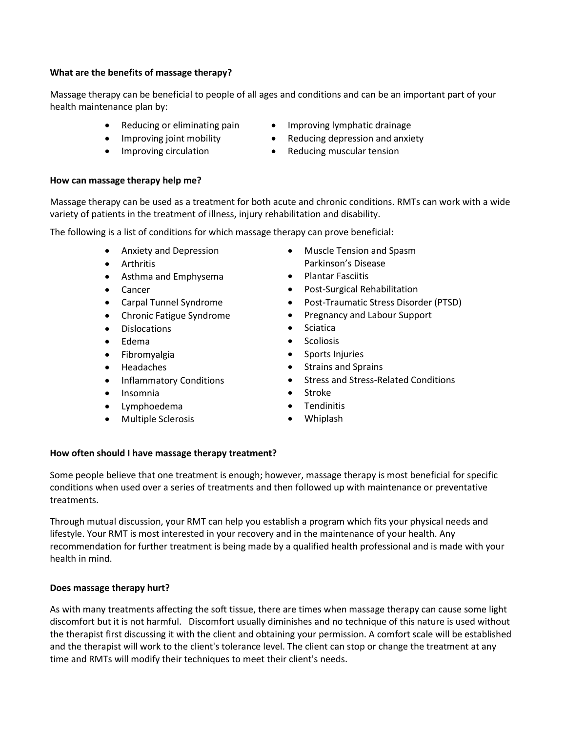## **What are the benefits of massage therapy?**

Massage therapy can be beneficial to people of all ages and conditions and can be an important part of your health maintenance plan by:

- Reducing or eliminating pain
- Improving joint mobility
- Improving circulation
- Improving lymphatic drainage
- Reducing depression and anxiety
- Reducing muscular tension

### **How can massage therapy help me?**

Massage therapy can be used as a treatment for both acute and chronic conditions. RMTs can work with a wide variety of patients in the treatment of illness, injury rehabilitation and disability.

The following is a list of conditions for which massage therapy can prove beneficial:

- Anxiety and Depression
- Arthritis
- Asthma and Emphysema
- Cancer
- Carpal Tunnel Syndrome
- Chronic Fatigue Syndrome
- Dislocations
- Edema
- Fibromyalgia
- Headaches
- Inflammatory Conditions
- Insomnia
- Lymphoedema
- Multiple Sclerosis
- Muscle Tension and Spasm Parkinson's Disease
- Plantar Fasciitis
- Post-Surgical Rehabilitation
- Post-Traumatic Stress Disorder (PTSD)
- Pregnancy and Labour Support
- Sciatica
- Scoliosis
- Sports Injuries
- Strains and Sprains
- **•** Stress and Stress-Related Conditions
- Stroke
- Tendinitis
- Whiplash

## **How often should I have massage therapy treatment?**

Some people believe that one treatment is enough; however, massage therapy is most beneficial for specific conditions when used over a series of treatments and then followed up with maintenance or preventative treatments.

Through mutual discussion, your RMT can help you establish a program which fits your physical needs and lifestyle. Your RMT is most interested in your recovery and in the maintenance of your health. Any recommendation for further treatment is being made by a qualified health professional and is made with your health in mind.

## **Does massage therapy hurt?**

As with many treatments affecting the soft tissue, there are times when massage therapy can cause some light discomfort but it is not harmful. Discomfort usually diminishes and no technique of this nature is used without the therapist first discussing it with the client and obtaining your permission. A comfort scale will be established and the therapist will work to the client's tolerance level. The client can stop or change the treatment at any time and RMTs will modify their techniques to meet their client's needs.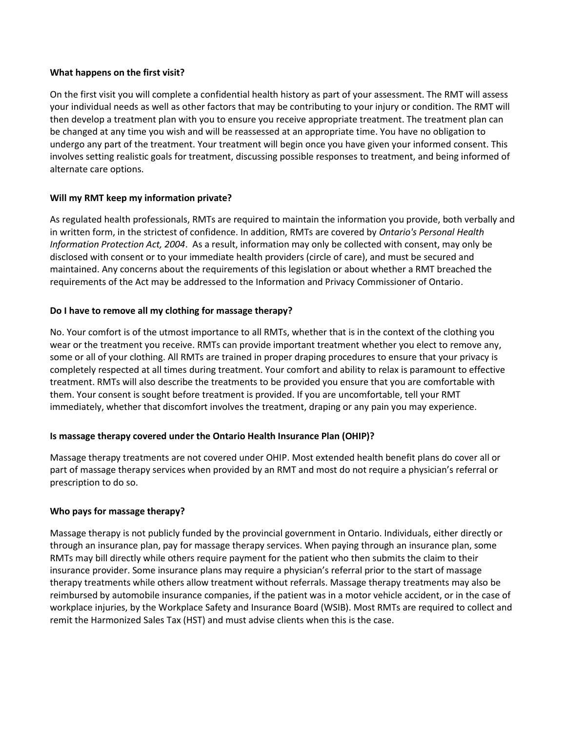### **What happens on the first visit?**

On the first visit you will complete a confidential health history as part of your assessment. The RMT will assess your individual needs as well as other factors that may be contributing to your injury or condition. The RMT will then develop a treatment plan with you to ensure you receive appropriate treatment. The treatment plan can be changed at any time you wish and will be reassessed at an appropriate time. You have no obligation to undergo any part of the treatment. Your treatment will begin once you have given your informed consent. This involves setting realistic goals for treatment, discussing possible responses to treatment, and being informed of alternate care options.

## **Will my RMT keep my information private?**

As regulated health professionals, RMTs are required to maintain the information you provide, both verbally and in written form, in the strictest of confidence. In addition, RMTs are covered by *Ontario's Personal Health Information Protection Act, 2004*. As a result, information may only be collected with consent, may only be disclosed with consent or to your immediate health providers (circle of care), and must be secured and maintained. Any concerns about the requirements of this legislation or about whether a RMT breached the requirements of the Act may be addressed to the Information and Privacy Commissioner of Ontario.

## **Do I have to remove all my clothing for massage therapy?**

No. Your comfort is of the utmost importance to all RMTs, whether that is in the context of the clothing you wear or the treatment you receive. RMTs can provide important treatment whether you elect to remove any, some or all of your clothing. All RMTs are trained in proper draping procedures to ensure that your privacy is completely respected at all times during treatment. Your comfort and ability to relax is paramount to effective treatment. RMTs will also describe the treatments to be provided you ensure that you are comfortable with them. Your consent is sought before treatment is provided. If you are uncomfortable, tell your RMT immediately, whether that discomfort involves the treatment, draping or any pain you may experience.

### **Is massage therapy covered under the Ontario Health Insurance Plan (OHIP)?**

Massage therapy treatments are not covered under OHIP. Most extended health benefit plans do cover all or part of massage therapy services when provided by an RMT and most do not require a physician's referral or prescription to do so.

### **Who pays for massage therapy?**

Massage therapy is not publicly funded by the provincial government in Ontario. Individuals, either directly or through an insurance plan, pay for massage therapy services. When paying through an insurance plan, some RMTs may bill directly while others require payment for the patient who then submits the claim to their insurance provider. Some insurance plans may require a physician's referral prior to the start of massage therapy treatments while others allow treatment without referrals. Massage therapy treatments may also be reimbursed by automobile insurance companies, if the patient was in a motor vehicle accident, or in the case of workplace injuries, by the Workplace Safety and Insurance Board (WSIB). Most RMTs are required to collect and remit the Harmonized Sales Tax (HST) and must advise clients when this is the case.